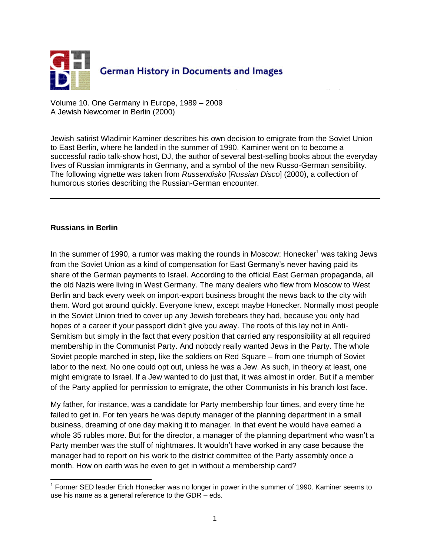

Volume 10. One Germany in Europe, 1989 – 2009 A Jewish Newcomer in Berlin (2000)

Jewish satirist Wladimir Kaminer describes his own decision to emigrate from the Soviet Union to East Berlin, where he landed in the summer of 1990. Kaminer went on to become a successful radio talk-show host, DJ, the author of several best-selling books about the everyday lives of Russian immigrants in Germany, and a symbol of the new Russo-German sensibility. The following vignette was taken from *Russendisko* [*Russian Disco*] (2000), a collection of humorous stories describing the Russian-German encounter.

## **Russians in Berlin**

In the summer of 1990, a rumor was making the rounds in Moscow: Honecker<sup>1</sup> was taking Jews from the Soviet Union as a kind of compensation for East Germany"s never having paid its share of the German payments to Israel. According to the official East German propaganda, all the old Nazis were living in West Germany. The many dealers who flew from Moscow to West Berlin and back every week on import-export business brought the news back to the city with them. Word got around quickly. Everyone knew, except maybe Honecker. Normally most people in the Soviet Union tried to cover up any Jewish forebears they had, because you only had hopes of a career if your passport didn"t give you away. The roots of this lay not in Anti-Semitism but simply in the fact that every position that carried any responsibility at all required membership in the Communist Party. And nobody really wanted Jews in the Party. The whole Soviet people marched in step, like the soldiers on Red Square – from one triumph of Soviet labor to the next. No one could opt out, unless he was a Jew. As such, in theory at least, one might emigrate to Israel. If a Jew wanted to do just that, it was almost in order. But if a member of the Party applied for permission to emigrate, the other Communists in his branch lost face.

My father, for instance, was a candidate for Party membership four times, and every time he failed to get in. For ten years he was deputy manager of the planning department in a small business, dreaming of one day making it to manager. In that event he would have earned a whole 35 rubles more. But for the director, a manager of the planning department who wasn't a Party member was the stuff of nightmares. It wouldn"t have worked in any case because the manager had to report on his work to the district committee of the Party assembly once a month. How on earth was he even to get in without a membership card?

 $\overline{\phantom{a}}$ <sup>1</sup> Former SED leader Erich Honecker was no longer in power in the summer of 1990. Kaminer seems to use his name as a general reference to the GDR – eds.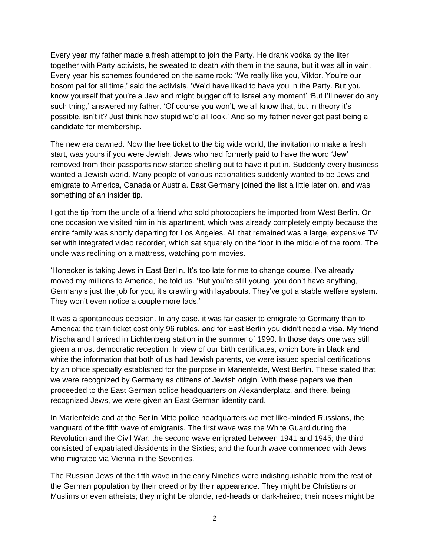Every year my father made a fresh attempt to join the Party. He drank vodka by the liter together with Party activists, he sweated to death with them in the sauna, but it was all in vain. Every year his schemes foundered on the same rock: "We really like you, Viktor. You"re our bosom pal for all time,' said the activists. 'We'd have liked to have you in the Party. But you know yourself that you"re a Jew and might bugger off to Israel any moment" "But I"ll never do any such thing,' answered my father. 'Of course you won't, we all know that, but in theory it's possible, isn"t it? Just think how stupid we"d all look." And so my father never got past being a candidate for membership.

The new era dawned. Now the free ticket to the big wide world, the invitation to make a fresh start, was yours if you were Jewish. Jews who had formerly paid to have the word "Jew" removed from their passports now started shelling out to have it put in. Suddenly every business wanted a Jewish world. Many people of various nationalities suddenly wanted to be Jews and emigrate to America, Canada or Austria. East Germany joined the list a little later on, and was something of an insider tip.

I got the tip from the uncle of a friend who sold photocopiers he imported from West Berlin. On one occasion we visited him in his apartment, which was already completely empty because the entire family was shortly departing for Los Angeles. All that remained was a large, expensive TV set with integrated video recorder, which sat squarely on the floor in the middle of the room. The uncle was reclining on a mattress, watching porn movies.

"Honecker is taking Jews in East Berlin. It"s too late for me to change course, I"ve already moved my millions to America,' he told us. 'But you're still young, you don't have anything, Germany"s just the job for you, it"s crawling with layabouts. They"ve got a stable welfare system. They won't even notice a couple more lads.'

It was a spontaneous decision. In any case, it was far easier to emigrate to Germany than to America: the train ticket cost only 96 rubles, and for East Berlin you didn"t need a visa. My friend Mischa and I arrived in Lichtenberg station in the summer of 1990. In those days one was still given a most democratic reception. In view of our birth certificates, which bore in black and white the information that both of us had Jewish parents, we were issued special certifications by an office specially established for the purpose in Marienfelde, West Berlin. These stated that we were recognized by Germany as citizens of Jewish origin. With these papers we then proceeded to the East German police headquarters on Alexanderplatz, and there, being recognized Jews, we were given an East German identity card.

In Marienfelde and at the Berlin Mitte police headquarters we met like-minded Russians, the vanguard of the fifth wave of emigrants. The first wave was the White Guard during the Revolution and the Civil War; the second wave emigrated between 1941 and 1945; the third consisted of expatriated dissidents in the Sixties; and the fourth wave commenced with Jews who migrated via Vienna in the Seventies.

The Russian Jews of the fifth wave in the early Nineties were indistinguishable from the rest of the German population by their creed or by their appearance. They might be Christians or Muslims or even atheists; they might be blonde, red-heads or dark-haired; their noses might be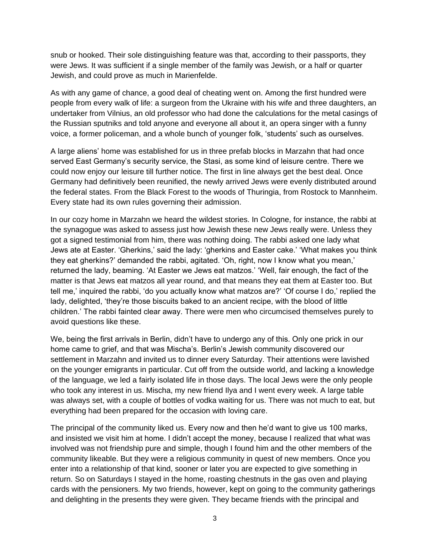snub or hooked. Their sole distinguishing feature was that, according to their passports, they were Jews. It was sufficient if a single member of the family was Jewish, or a half or quarter Jewish, and could prove as much in Marienfelde.

As with any game of chance, a good deal of cheating went on. Among the first hundred were people from every walk of life: a surgeon from the Ukraine with his wife and three daughters, an undertaker from Vilnius, an old professor who had done the calculations for the metal casings of the Russian sputniks and told anyone and everyone all about it, an opera singer with a funny voice, a former policeman, and a whole bunch of younger folk, "students" such as ourselves.

A large aliens" home was established for us in three prefab blocks in Marzahn that had once served East Germany"s security service, the Stasi, as some kind of leisure centre. There we could now enjoy our leisure till further notice. The first in line always get the best deal. Once Germany had definitively been reunified, the newly arrived Jews were evenly distributed around the federal states. From the Black Forest to the woods of Thuringia, from Rostock to Mannheim. Every state had its own rules governing their admission.

In our cozy home in Marzahn we heard the wildest stories. In Cologne, for instance, the rabbi at the synagogue was asked to assess just how Jewish these new Jews really were. Unless they got a signed testimonial from him, there was nothing doing. The rabbi asked one lady what Jews ate at Easter. "Gherkins," said the lady: "gherkins and Easter cake." "What makes you think they eat gherkins?' demanded the rabbi, agitated. 'Oh, right, now I know what you mean,' returned the lady, beaming. "At Easter we Jews eat matzos." "Well, fair enough, the fact of the matter is that Jews eat matzos all year round, and that means they eat them at Easter too. But tell me,' inquired the rabbi, 'do you actually know what matzos are?' 'Of course I do,' replied the lady, delighted, "they"re those biscuits baked to an ancient recipe, with the blood of little children." The rabbi fainted clear away. There were men who circumcised themselves purely to avoid questions like these.

We, being the first arrivals in Berlin, didn"t have to undergo any of this. Only one prick in our home came to grief, and that was Mischa"s. Berlin"s Jewish community discovered our settlement in Marzahn and invited us to dinner every Saturday. Their attentions were lavished on the younger emigrants in particular. Cut off from the outside world, and lacking a knowledge of the language, we led a fairly isolated life in those days. The local Jews were the only people who took any interest in us. Mischa, my new friend Ilya and I went every week. A large table was always set, with a couple of bottles of vodka waiting for us. There was not much to eat, but everything had been prepared for the occasion with loving care.

The principal of the community liked us. Every now and then he"d want to give us 100 marks, and insisted we visit him at home. I didn"t accept the money, because I realized that what was involved was not friendship pure and simple, though I found him and the other members of the community likeable. But they were a religious community in quest of new members. Once you enter into a relationship of that kind, sooner or later you are expected to give something in return. So on Saturdays I stayed in the home, roasting chestnuts in the gas oven and playing cards with the pensioners. My two friends, however, kept on going to the community gatherings and delighting in the presents they were given. They became friends with the principal and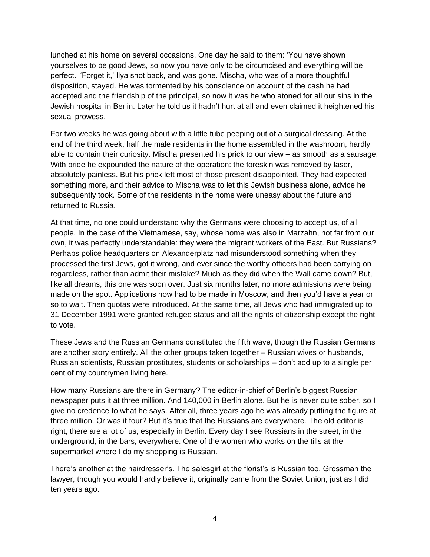lunched at his home on several occasions. One day he said to them: "You have shown yourselves to be good Jews, so now you have only to be circumcised and everything will be perfect." "Forget it," Ilya shot back, and was gone. Mischa, who was of a more thoughtful disposition, stayed. He was tormented by his conscience on account of the cash he had accepted and the friendship of the principal, so now it was he who atoned for all our sins in the Jewish hospital in Berlin. Later he told us it hadn"t hurt at all and even claimed it heightened his sexual prowess.

For two weeks he was going about with a little tube peeping out of a surgical dressing. At the end of the third week, half the male residents in the home assembled in the washroom, hardly able to contain their curiosity. Mischa presented his prick to our view – as smooth as a sausage. With pride he expounded the nature of the operation: the foreskin was removed by laser, absolutely painless. But his prick left most of those present disappointed. They had expected something more, and their advice to Mischa was to let this Jewish business alone, advice he subsequently took. Some of the residents in the home were uneasy about the future and returned to Russia.

At that time, no one could understand why the Germans were choosing to accept us, of all people. In the case of the Vietnamese, say, whose home was also in Marzahn, not far from our own, it was perfectly understandable: they were the migrant workers of the East. But Russians? Perhaps police headquarters on Alexanderplatz had misunderstood something when they processed the first Jews, got it wrong, and ever since the worthy officers had been carrying on regardless, rather than admit their mistake? Much as they did when the Wall came down? But, like all dreams, this one was soon over. Just six months later, no more admissions were being made on the spot. Applications now had to be made in Moscow, and then you"d have a year or so to wait. Then quotas were introduced. At the same time, all Jews who had immigrated up to 31 December 1991 were granted refugee status and all the rights of citizenship except the right to vote.

These Jews and the Russian Germans constituted the fifth wave, though the Russian Germans are another story entirely. All the other groups taken together – Russian wives or husbands, Russian scientists, Russian prostitutes, students or scholarships – don"t add up to a single per cent of my countrymen living here.

How many Russians are there in Germany? The editor-in-chief of Berlin"s biggest Russian newspaper puts it at three million. And 140,000 in Berlin alone. But he is never quite sober, so I give no credence to what he says. After all, three years ago he was already putting the figure at three million. Or was it four? But it's true that the Russians are everywhere. The old editor is right, there are a lot of us, especially in Berlin. Every day I see Russians in the street, in the underground, in the bars, everywhere. One of the women who works on the tills at the supermarket where I do my shopping is Russian.

There's another at the hairdresser's. The salesgirl at the florist's is Russian too. Grossman the lawyer, though you would hardly believe it, originally came from the Soviet Union, just as I did ten years ago.